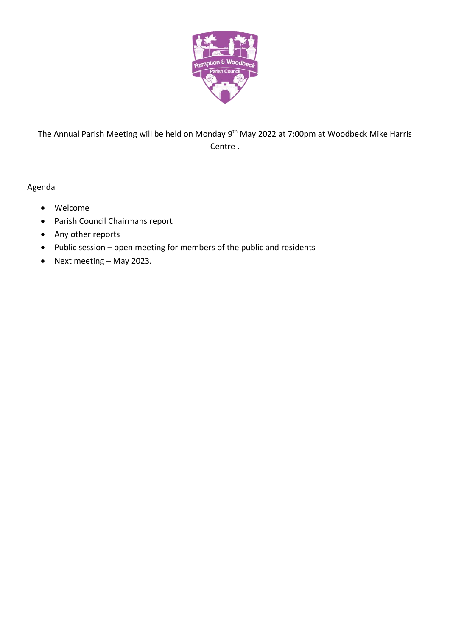

The Annual Parish Meeting will be held on Monday 9<sup>th</sup> May 2022 at 7:00pm at Woodbeck Mike Harris Centre .

# Agenda

- Welcome
- Parish Council Chairmans report
- Any other reports
- Public session open meeting for members of the public and residents
- Next meeting May 2023.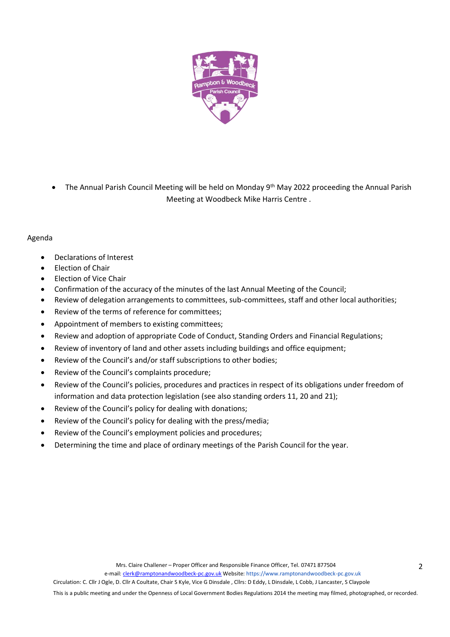

The Annual Parish Council Meeting will be held on Monday 9<sup>th</sup> May 2022 proceeding the Annual Parish Meeting at Woodbeck Mike Harris Centre .

#### Agenda

- Declarations of Interest
- Election of Chair
- **Election of Vice Chair**
- Confirmation of the accuracy of the minutes of the last Annual Meeting of the Council;
- Review of delegation arrangements to committees, sub-committees, staff and other local authorities;
- Review of the terms of reference for committees;
- Appointment of members to existing committees;
- Review and adoption of appropriate Code of Conduct, Standing Orders and Financial Regulations;
- Review of inventory of land and other assets including buildings and office equipment;
- Review of the Council's and/or staff subscriptions to other bodies;
- Review of the Council's complaints procedure;
- Review of the Council's policies, procedures and practices in respect of its obligations under freedom of information and data protection legislation (see also standing orders 11, 20 and 21);
- Review of the Council's policy for dealing with donations;
- Review of the Council's policy for dealing with the press/media;
- Review of the Council's employment policies and procedures;
- Determining the time and place of ordinary meetings of the Parish Council for the year.

This is a public meeting and under the Openness of Local Government Bodies Regulations 2014 the meeting may filmed, photographed, or recorded.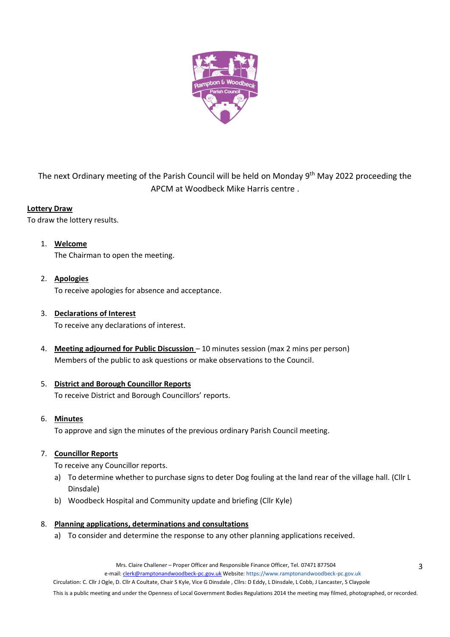

The next Ordinary meeting of the Parish Council will be held on Monday 9<sup>th</sup> May 2022 proceeding the APCM at Woodbeck Mike Harris centre .

#### **Lottery Draw**

To draw the lottery results.

- 1. **Welcome** The Chairman to open the meeting.
- 2. **Apologies** To receive apologies for absence and acceptance.

## 3. **Declarations of Interest**

To receive any declarations of interest.

4. **Meeting adjourned for Public Discussion** – 10 minutes session (max 2 mins per person) Members of the public to ask questions or make observations to the Council.

## 5. **District and Borough Councillor Reports**

To receive District and Borough Councillors' reports.

## 6. **Minutes**

To approve and sign the minutes of the previous ordinary Parish Council meeting.

#### 7. **Councillor Reports**

To receive any Councillor reports.

- a) To determine whether to purchase signs to deter Dog fouling at the land rear of the village hall. (Cllr L Dinsdale)
- b) Woodbeck Hospital and Community update and briefing (Cllr Kyle)

#### 8. **Planning applications, determinations and consultations**

a) To consider and determine the response to any other planning applications received.

Mrs. Claire Challener – Proper Officer and Responsible Finance Officer, Tel. 07471 877504

e-mail[: clerk@ramptonandwoodbeck-pc.gov.uk](mailto:clerk@ramptonandwoodbeck-pc.gov.uk) Website: https://www.ramptonandwoodbeck-pc.gov.uk

Circulation: C. Cllr J Ogle, D. Cllr A Coultate, Chair S Kyle, Vice G Dinsdale , Cllrs: D Eddy, L Dinsdale, L Cobb, J Lancaster, S Claypole

This is a public meeting and under the Openness of Local Government Bodies Regulations 2014 the meeting may filmed, photographed, or recorded.